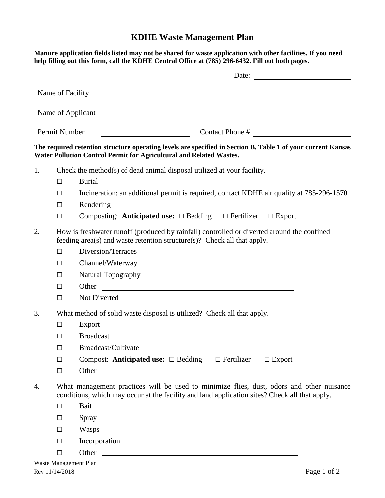## **KDHE Waste Management Plan**

|    |                                                                                                                                                                                           | Manure application fields listed may not be shared for waste application with other facilities. If you need<br>help filling out this form, call the KDHE Central Office at (785) 296-6432. Fill out both pages.                      |  |  |  |  |  |  |
|----|-------------------------------------------------------------------------------------------------------------------------------------------------------------------------------------------|--------------------------------------------------------------------------------------------------------------------------------------------------------------------------------------------------------------------------------------|--|--|--|--|--|--|
|    |                                                                                                                                                                                           | Date:                                                                                                                                                                                                                                |  |  |  |  |  |  |
|    | Name of Facility                                                                                                                                                                          |                                                                                                                                                                                                                                      |  |  |  |  |  |  |
|    |                                                                                                                                                                                           |                                                                                                                                                                                                                                      |  |  |  |  |  |  |
|    |                                                                                                                                                                                           | Name of Applicant                                                                                                                                                                                                                    |  |  |  |  |  |  |
|    | Permit Number                                                                                                                                                                             | Contact Phone #                                                                                                                                                                                                                      |  |  |  |  |  |  |
|    |                                                                                                                                                                                           | The required retention structure operating levels are specified in Section B, Table 1 of your current Kansas<br>Water Pollution Control Permit for Agricultural and Related Wastes.                                                  |  |  |  |  |  |  |
| 1. |                                                                                                                                                                                           | Check the method(s) of dead animal disposal utilized at your facility.                                                                                                                                                               |  |  |  |  |  |  |
|    | □                                                                                                                                                                                         | <b>Burial</b>                                                                                                                                                                                                                        |  |  |  |  |  |  |
|    | $\Box$                                                                                                                                                                                    | Incineration: an additional permit is required, contact KDHE air quality at 785-296-1570                                                                                                                                             |  |  |  |  |  |  |
|    | $\Box$                                                                                                                                                                                    | Rendering                                                                                                                                                                                                                            |  |  |  |  |  |  |
|    | $\Box$                                                                                                                                                                                    | Composting: Anticipated use: $\Box$ Bedding $\Box$ Fertilizer<br>$\Box$ Export                                                                                                                                                       |  |  |  |  |  |  |
| 2. | How is freshwater runoff (produced by rainfall) controlled or diverted around the confined<br>feeding area(s) and waste retention structure(s)? Check all that apply.                     |                                                                                                                                                                                                                                      |  |  |  |  |  |  |
|    | $\Box$                                                                                                                                                                                    | Diversion/Terraces                                                                                                                                                                                                                   |  |  |  |  |  |  |
|    | $\Box$                                                                                                                                                                                    | Channel/Waterway                                                                                                                                                                                                                     |  |  |  |  |  |  |
|    | $\Box$                                                                                                                                                                                    | Natural Topography                                                                                                                                                                                                                   |  |  |  |  |  |  |
|    | $\Box$                                                                                                                                                                                    | Other                                                                                                                                                                                                                                |  |  |  |  |  |  |
|    | $\Box$                                                                                                                                                                                    | Not Diverted                                                                                                                                                                                                                         |  |  |  |  |  |  |
| 3. |                                                                                                                                                                                           | What method of solid waste disposal is utilized? Check all that apply.                                                                                                                                                               |  |  |  |  |  |  |
|    | $\Box$                                                                                                                                                                                    | Export                                                                                                                                                                                                                               |  |  |  |  |  |  |
|    | □                                                                                                                                                                                         | <b>Broadcast</b>                                                                                                                                                                                                                     |  |  |  |  |  |  |
|    | $\Box$                                                                                                                                                                                    | Broadcast/Cultivate                                                                                                                                                                                                                  |  |  |  |  |  |  |
|    | $\Box$                                                                                                                                                                                    | Compost: Anticipated use: $\Box$ Bedding<br>$\Box$ Fertilizer<br>$\Box$ Export                                                                                                                                                       |  |  |  |  |  |  |
|    | $\Box$                                                                                                                                                                                    | Other <u>and the contract of the contract of the contract of the contract of the contract of the contract of the contract of the contract of the contract of the contract of the contract of the contract of the contract of the</u> |  |  |  |  |  |  |
| 4. | What management practices will be used to minimize flies, dust, odors and other nuisance<br>conditions, which may occur at the facility and land application sites? Check all that apply. |                                                                                                                                                                                                                                      |  |  |  |  |  |  |
|    | $\Box$                                                                                                                                                                                    | <b>Bait</b>                                                                                                                                                                                                                          |  |  |  |  |  |  |
|    | $\Box$                                                                                                                                                                                    | Spray                                                                                                                                                                                                                                |  |  |  |  |  |  |
|    | $\Box$                                                                                                                                                                                    | Wasps                                                                                                                                                                                                                                |  |  |  |  |  |  |
|    | $\Box$                                                                                                                                                                                    | Incorporation                                                                                                                                                                                                                        |  |  |  |  |  |  |
|    | $\Box$                                                                                                                                                                                    |                                                                                                                                                                                                                                      |  |  |  |  |  |  |
|    |                                                                                                                                                                                           |                                                                                                                                                                                                                                      |  |  |  |  |  |  |